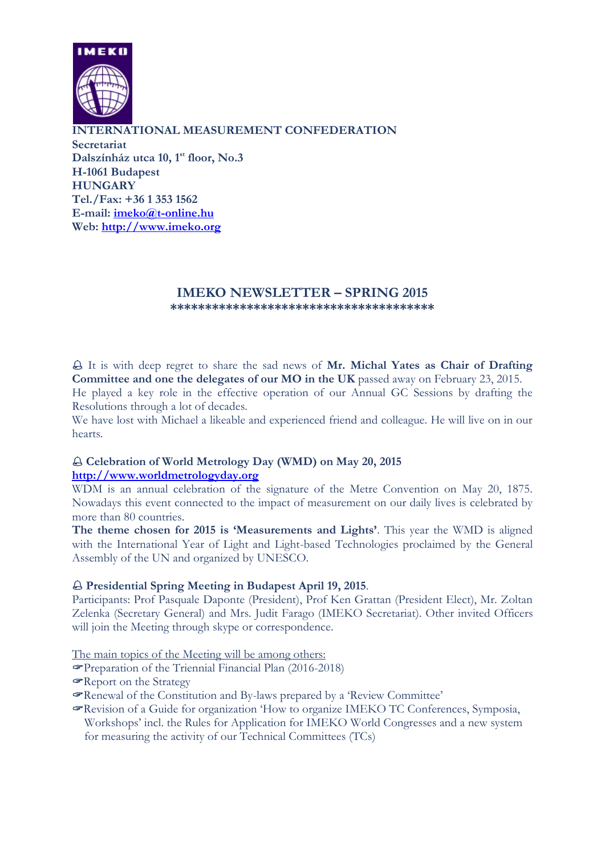

**INTERNATIONAL MEASUREMENT CONFEDERATION Secretariat Dalszínház utca 10, 1st floor, No.3 H-1061 Budapest HUNGARY Tel./Fax: +36 1 353 1562 E-mail: [imeko@t-online.hu](mailto:imeko@t-online.hu) Web: [http://www.imeko.org](http://www.imeko.org/)**

#### **IMEKO NEWSLETTER – SPRING 2015 \*\*\*\*\*\*\*\*\*\*\*\*\*\*\*\*\*\*\*\*\*\*\*\*\*\*\*\*\*\*\*\*\*\*\*\*\*\***

 It is with deep regret to share the sad news of **Mr. Michal Yates as Chair of Drafting Committee and one the delegates of our MO in the UK** passed away on February 23, 2015.

He played a key role in the effective operation of our Annual GC Sessions by drafting the Resolutions through a lot of decades.

We have lost with Michael a likeable and experienced friend and colleague. He will live on in our hearts.

## **Celebration of World Metrology Day (WMD) on May 20, 2015 [http://www.worldmetrologyday.org](http://www.worldmetrologyday.org/)**

WDM is an annual celebration of the signature of the Metre Convention on May 20, 1875. Nowadays this event connected to the impact of measurement on our daily lives is celebrated by more than 80 countries.

**The theme chosen for 2015 is 'Measurements and Lights'**. This year the WMD is aligned with the International Year of Light and Light-based Technologies proclaimed by the General Assembly of the UN and organized by UNESCO.

### **Presidential Spring Meeting in Budapest April 19, 2015**.

Participants: Prof Pasquale Daponte (President), Prof Ken Grattan (President Elect), Mr. Zoltan Zelenka (Secretary General) and Mrs. Judit Farago (IMEKO Secretariat). Other invited Officers will join the Meeting through skype or correspondence.

The main topics of the Meeting will be among others:

- Preparation of the Triennial Financial Plan (2016-2018)
- Report on the Strategy
- Renewal of the Constitution and By-laws prepared by a 'Review Committee'
- Revision of a Guide for organization 'How to organize IMEKO TC Conferences, Symposia, Workshops' incl. the Rules for Application for IMEKO World Congresses and a new system for measuring the activity of our Technical Committees (TCs)